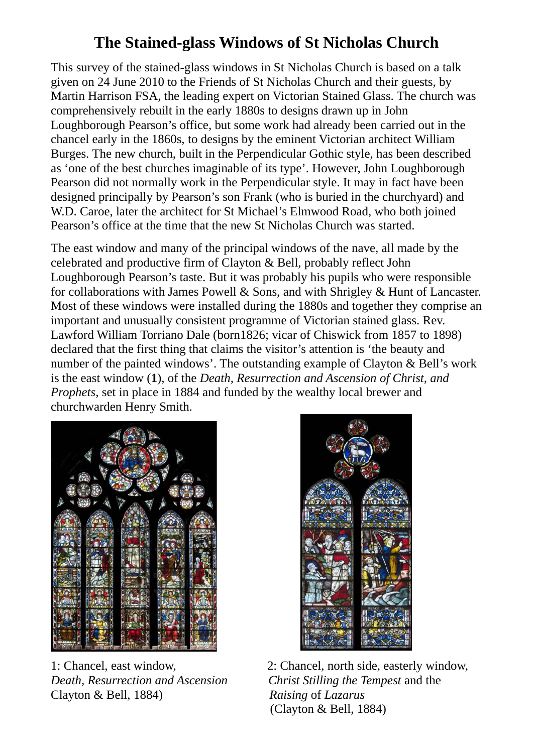## **The Stained-glass Windows of St Nicholas Church**

This survey of the stained-glass windows in St Nicholas Church is based on a talk given on 24 June 2010 to the Friends of St Nicholas Church and their guests, by Martin Harrison FSA, the leading expert on Victorian Stained Glass. The church was comprehensively rebuilt in the early 1880s to designs drawn up in John Loughborough Pearson's office, but some work had already been carried out in the chancel early in the 1860s, to designs by the eminent Victorian architect William Burges. The new church, built in the Perpendicular Gothic style, has been described as 'one of the best churches imaginable of its type'. However, John Loughborough Pearson did not normally work in the Perpendicular style. It may in fact have been designed principally by Pearson's son Frank (who is buried in the churchyard) and W.D. Caroe, later the architect for St Michael's Elmwood Road, who both joined Pearson's office at the time that the new St Nicholas Church was started.

The east window and many of the principal windows of the nave, all made by the celebrated and productive firm of Clayton & Bell, probably reflect John Loughborough Pearson's taste. But it was probably his pupils who were responsible for collaborations with James Powell & Sons, and with Shrigley & Hunt of Lancaster. Most of these windows were installed during the 1880s and together they comprise an important and unusually consistent programme of Victorian stained glass. Rev. Lawford William Torriano Dale (born1826; vicar of Chiswick from 1857 to 1898) declared that the first thing that claims the visitor's attention is 'the beauty and number of the painted windows'. The outstanding example of Clayton & Bell's work is the east window (**1**), of the *Death, Resurrection and Ascension of Christ, and Prophets*, set in place in 1884 and funded by the wealthy local brewer and churchwarden Henry Smith.



*Death, Resurrection and Ascension Christ Stilling the Tempest* and the Clayton & Bell, 1884) *Raising* of *Lazarus*



1: Chancel, east window, 2: Chancel, north side, easterly window, (Clayton & Bell, 1884)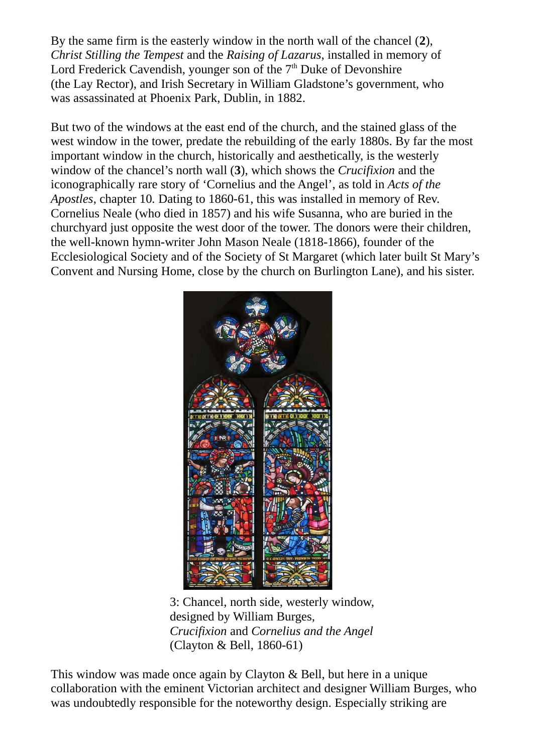By the same firm is the easterly window in the north wall of the chancel (**2**), *Christ Stilling the Tempest* and the *Raising of Lazarus*, installed in memory of Lord Frederick Cavendish, younger son of the 7<sup>th</sup> Duke of Devonshire (the Lay Rector), and Irish Secretary in William Gladstone's government, who was assassinated at Phoenix Park, Dublin, in 1882.

But two of the windows at the east end of the church, and the stained glass of the west window in the tower, predate the rebuilding of the early 1880s. By far the most important window in the church, historically and aesthetically, is the westerly window of the chancel's north wall (**3**), which shows the *Crucifixion* and the iconographically rare story of 'Cornelius and the Angel', as told in *Acts of the Apostles*, chapter 10*.* Dating to 1860-61, this was installed in memory of Rev. Cornelius Neale (who died in 1857) and his wife Susanna, who are buried in the churchyard just opposite the west door of the tower. The donors were their children, the well-known hymn-writer John Mason Neale (1818-1866), founder of the Ecclesiological Society and of the Society of St Margaret (which later built St Mary's Convent and Nursing Home, close by the church on Burlington Lane), and his sister.



 3: Chancel, north side, westerly window, designed by William Burges,  *Crucifixion* and *Cornelius and the Angel* (Clayton & Bell, 1860-61)

This window was made once again by Clayton & Bell, but here in a unique collaboration with the eminent Victorian architect and designer William Burges, who was undoubtedly responsible for the noteworthy design. Especially striking are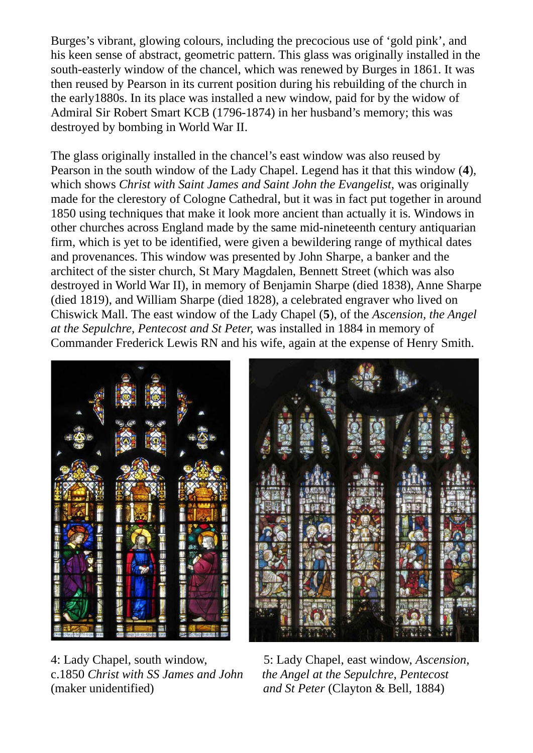Burges's vibrant, glowing colours, including the precocious use of 'gold pink', and his keen sense of abstract, geometric pattern. This glass was originally installed in the south-easterly window of the chancel, which was renewed by Burges in 1861. It was then reused by Pearson in its current position during his rebuilding of the church in the early1880s. In its place was installed a new window, paid for by the widow of Admiral Sir Robert Smart KCB (1796-1874) in her husband's memory; this was destroyed by bombing in World War II.

The glass originally installed in the chancel's east window was also reused by Pearson in the south window of the Lady Chapel. Legend has it that this window (**4**), which shows *Christ with Saint James and Saint John the Evangelist*, was originally made for the clerestory of Cologne Cathedral, but it was in fact put together in around 1850 using techniques that make it look more ancient than actually it is. Windows in other churches across England made by the same mid-nineteenth century antiquarian firm, which is yet to be identified, were given a bewildering range of mythical dates and provenances. This window was presented by John Sharpe, a banker and the architect of the sister church, St Mary Magdalen, Bennett Street (which was also destroyed in World War II), in memory of Benjamin Sharpe (died 1838), Anne Sharpe (died 1819), and William Sharpe (died 1828), a celebrated engraver who lived on Chiswick Mall. The east window of the Lady Chapel (**5**), of the *Ascension, the Angel at the Sepulchre, Pentecost and St Peter,* was installed in 1884 in memory of Commander Frederick Lewis RN and his wife, again at the expense of Henry Smith.



c.1850 *Christ with SS James and John the Angel at the Sepulchre, Pentecost* (maker unidentified) *and St Peter* (Clayton & Bell, 1884)

4: Lady Chapel, south window, 5: Lady Chapel, east window, *Ascension,*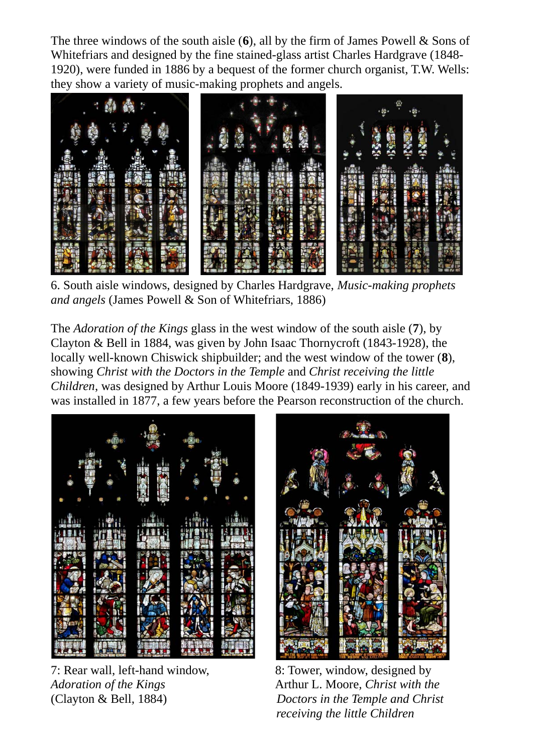The three windows of the south aisle (**6**), all by the firm of James Powell & Sons of Whitefriars and designed by the fine stained-glass artist Charles Hardgrave (1848- 1920), were funded in 1886 by a bequest of the former church organist, T.W. Wells: they show a variety of music-making prophets and angels.



6. South aisle windows, designed by Charles Hardgrave, *Music-making prophets and angels* (James Powell & Son of Whitefriars, 1886)

The *Adoration of the Kings* glass in the west window of the south aisle (**7**), by Clayton & Bell in 1884, was given by John Isaac Thornycroft (1843-1928), the locally well-known Chiswick shipbuilder; and the west window of the tower (**8**), showing *Christ with the Doctors in the Temple* and *Christ receiving the little Children*, was designed by Arthur Louis Moore (1849-1939) early in his career, and was installed in 1877, a few years before the Pearson reconstruction of the church.



7: Rear wall, left-hand window, 8: Tower, window, designed by



*Adoration of the Kings* **Arthur L. Moore, Christ with the Arthur L. Moore**, *Christ with the* (Clayton & Bell, 1884) *Doctors in the Temple and Christ receiving the little Children*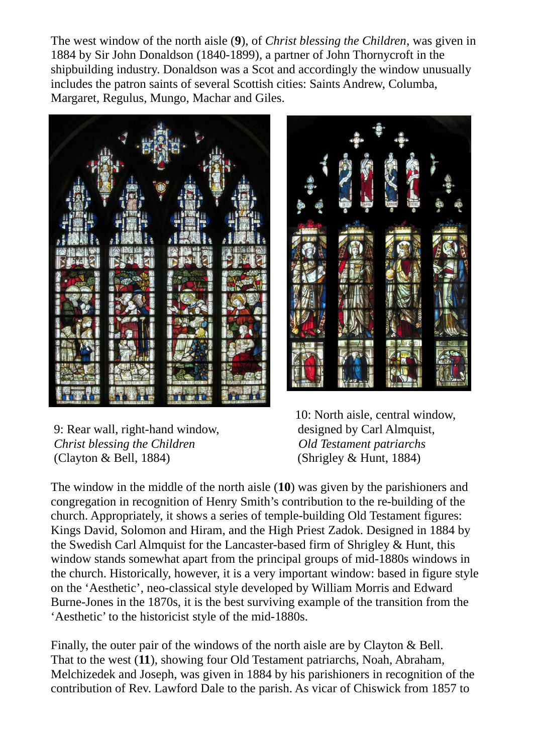The west window of the north aisle (**9**), of *Christ blessing the Children*, was given in 1884 by Sir John Donaldson (1840-1899), a partner of John Thornycroft in the shipbuilding industry. Donaldson was a Scot and accordingly the window unusually includes the patron saints of several Scottish cities: Saints Andrew, Columba, Margaret, Regulus, Mungo, Machar and Giles.





 9: Rear wall, right-hand window, designed by Carl Almquist, *Christ blessing the Children* **Children** *Old Testament patriarchs* (Clayton & Bell, 1884) (Shrigley & Hunt, 1884)

10: North aisle, central window,

The window in the middle of the north aisle (**10**) was given by the parishioners and congregation in recognition of Henry Smith's contribution to the re-building of the church. Appropriately, it shows a series of temple-building Old Testament figures: Kings David, Solomon and Hiram, and the High Priest Zadok. Designed in 1884 by the Swedish Carl Almquist for the Lancaster-based firm of Shrigley & Hunt, this window stands somewhat apart from the principal groups of mid-1880s windows in the church. Historically, however, it is a very important window: based in figure style on the 'Aesthetic', neo-classical style developed by William Morris and Edward Burne-Jones in the 1870s, it is the best surviving example of the transition from the 'Aesthetic' to the historicist style of the mid-1880s.

Finally, the outer pair of the windows of the north aisle are by Clayton & Bell. That to the west (**11**), showing four Old Testament patriarchs, Noah, Abraham, Melchizedek and Joseph, was given in 1884 by his parishioners in recognition of the contribution of Rev. Lawford Dale to the parish. As vicar of Chiswick from 1857 to